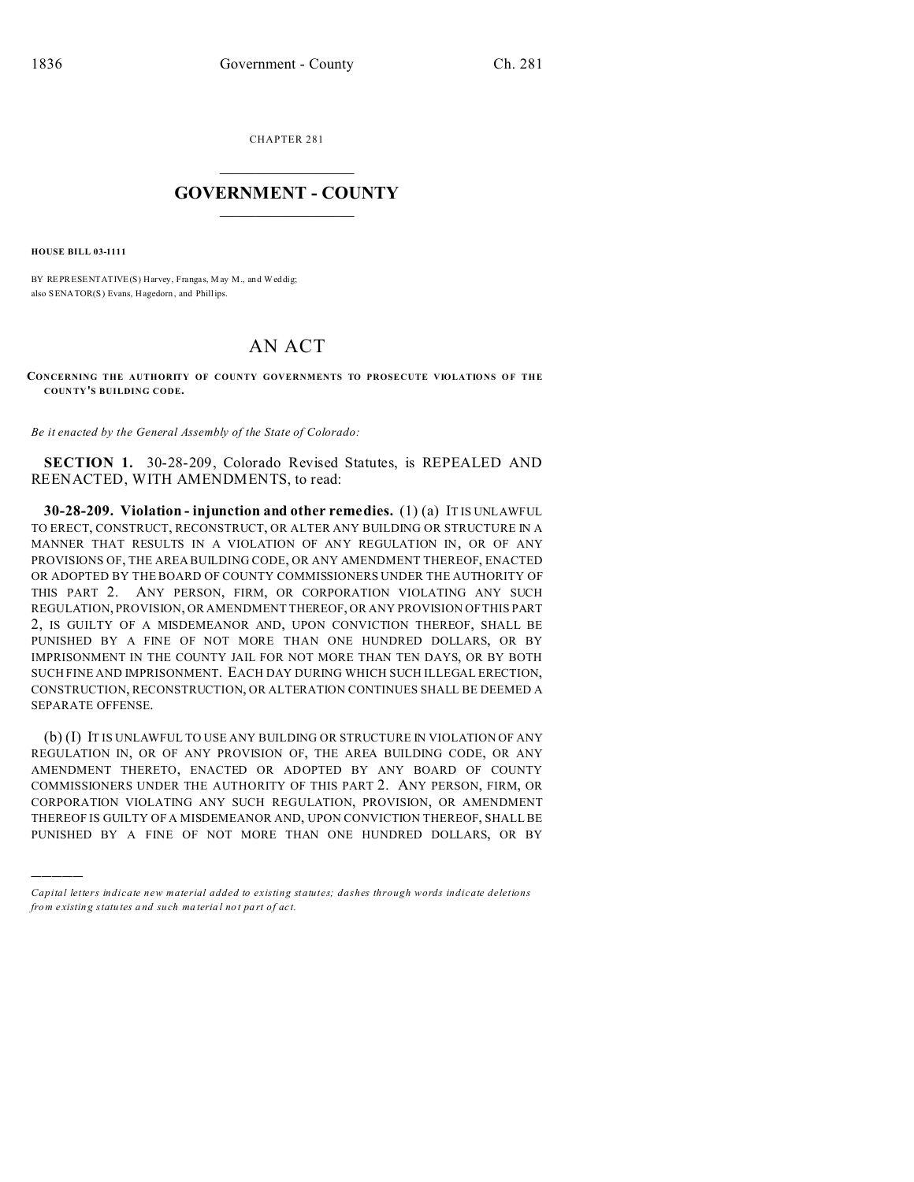CHAPTER 281  $\overline{\phantom{a}}$  , where  $\overline{\phantom{a}}$ 

## **GOVERNMENT - COUNTY**  $\_$

**HOUSE BILL 03-1111**

)))))

BY REPRESENTATIVE(S) Harvey, Frangas, May M., and Weddig; also SENATOR(S) Evans, Hagedorn, and Phillips.

## AN ACT

**CONCERNING THE AUTHORITY OF COUNTY GOVERNMENTS TO PROSECUTE VIOLATIONS OF THE COUN TY'S BUILDING CODE.**

*Be it enacted by the General Assembly of the State of Colorado:*

**SECTION 1.** 30-28-209, Colorado Revised Statutes, is REPEALED AND REENACTED, WITH AMENDMENTS, to read:

**30-28-209. Violation - injunction and other remedies.** (1) (a) IT IS UNLAWFUL TO ERECT, CONSTRUCT, RECONSTRUCT, OR ALTER ANY BUILDING OR STRUCTURE IN A MANNER THAT RESULTS IN A VIOLATION OF ANY REGULATION IN, OR OF ANY PROVISIONS OF, THE AREA BUILDING CODE, OR ANY AMENDMENT THEREOF, ENACTED OR ADOPTED BY THE BOARD OF COUNTY COMMISSIONERS UNDER THE AUTHORITY OF THIS PART 2. ANY PERSON, FIRM, OR CORPORATION VIOLATING ANY SUCH REGULATION, PROVISION, OR AMENDMENT THEREOF, OR ANY PROVISION OF THIS PART 2, IS GUILTY OF A MISDEMEANOR AND, UPON CONVICTION THEREOF, SHALL BE PUNISHED BY A FINE OF NOT MORE THAN ONE HUNDRED DOLLARS, OR BY IMPRISONMENT IN THE COUNTY JAIL FOR NOT MORE THAN TEN DAYS, OR BY BOTH SUCH FINE AND IMPRISONMENT. EACH DAY DURING WHICH SUCH ILLEGAL ERECTION, CONSTRUCTION, RECONSTRUCTION, OR ALTERATION CONTINUES SHALL BE DEEMED A SEPARATE OFFENSE.

(b) (I) IT IS UNLAWFUL TO USE ANY BUILDING OR STRUCTURE IN VIOLATION OF ANY REGULATION IN, OR OF ANY PROVISION OF, THE AREA BUILDING CODE, OR ANY AMENDMENT THERETO, ENACTED OR ADOPTED BY ANY BOARD OF COUNTY COMMISSIONERS UNDER THE AUTHORITY OF THIS PART 2. ANY PERSON, FIRM, OR CORPORATION VIOLATING ANY SUCH REGULATION, PROVISION, OR AMENDMENT THEREOF IS GUILTY OF A MISDEMEANOR AND, UPON CONVICTION THEREOF, SHALL BE PUNISHED BY A FINE OF NOT MORE THAN ONE HUNDRED DOLLARS, OR BY

*Capital letters indicate new material added to existing statutes; dashes through words indicate deletions from e xistin g statu tes a nd such ma teria l no t pa rt of ac t.*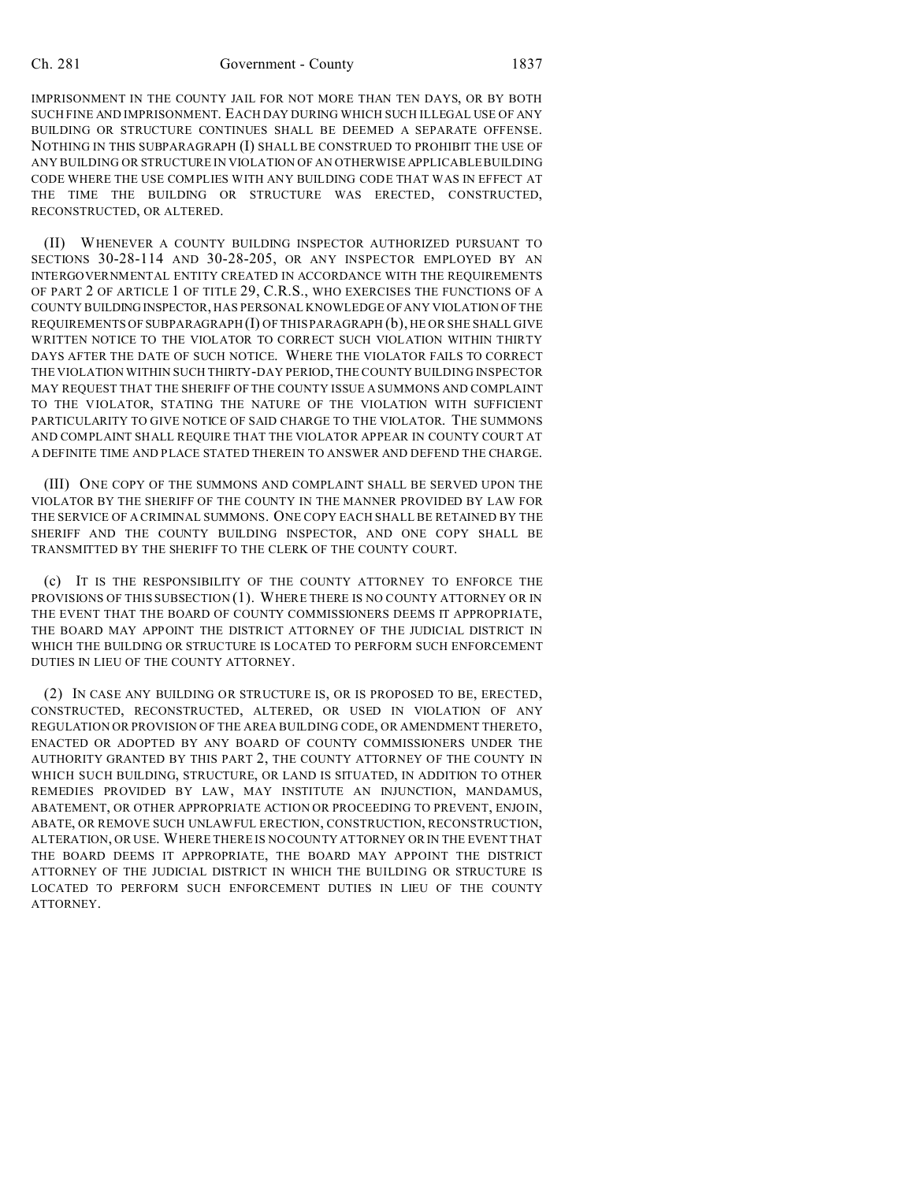IMPRISONMENT IN THE COUNTY JAIL FOR NOT MORE THAN TEN DAYS, OR BY BOTH SUCH FINE AND IMPRISONMENT. EACH DAY DURING WHICH SUCH ILLEGAL USE OF ANY BUILDING OR STRUCTURE CONTINUES SHALL BE DEEMED A SEPARATE OFFENSE. NOTHING IN THIS SUBPARAGRAPH (I) SHALL BE CONSTRUED TO PROHIBIT THE USE OF ANY BUILDING OR STRUCTURE IN VIOLATION OF AN OTHERWISE APPLICABLE BUILDING CODE WHERE THE USE COMPLIES WITH ANY BUILDING CODE THAT WAS IN EFFECT AT THE TIME THE BUILDING OR STRUCTURE WAS ERECTED, CONSTRUCTED, RECONSTRUCTED, OR ALTERED.

(II) WHENEVER A COUNTY BUILDING INSPECTOR AUTHORIZED PURSUANT TO SECTIONS 30-28-114 AND 30-28-205, OR ANY INSPECTOR EMPLOYED BY AN INTERGOVERNMENTAL ENTITY CREATED IN ACCORDANCE WITH THE REQUIREMENTS OF PART 2 OF ARTICLE 1 OF TITLE 29, C.R.S., WHO EXERCISES THE FUNCTIONS OF A COUNTY BUILDING INSPECTOR, HAS PERSONAL KNOWLEDGE OF ANY VIOLATION OF THE REQUIREMENTS OF SUBPARAGRAPH (I) OF THIS PARAGRAPH (b), HE OR SHE SHALL GIVE WRITTEN NOTICE TO THE VIOLATOR TO CORRECT SUCH VIOLATION WITHIN THIRTY DAYS AFTER THE DATE OF SUCH NOTICE. WHERE THE VIOLATOR FAILS TO CORRECT THE VIOLATION WITHIN SUCH THIRTY-DAY PERIOD, THE COUNTY BUILDING INSPECTOR MAY REQUEST THAT THE SHERIFF OF THE COUNTY ISSUE A SUMMONS AND COMPLAINT TO THE VIOLATOR, STATING THE NATURE OF THE VIOLATION WITH SUFFICIENT PARTICULARITY TO GIVE NOTICE OF SAID CHARGE TO THE VIOLATOR. THE SUMMONS AND COMPLAINT SHALL REQUIRE THAT THE VIOLATOR APPEAR IN COUNTY COURT AT A DEFINITE TIME AND PLACE STATED THEREIN TO ANSWER AND DEFEND THE CHARGE.

(III) ONE COPY OF THE SUMMONS AND COMPLAINT SHALL BE SERVED UPON THE VIOLATOR BY THE SHERIFF OF THE COUNTY IN THE MANNER PROVIDED BY LAW FOR THE SERVICE OF A CRIMINAL SUMMONS. ONE COPY EACH SHALL BE RETAINED BY THE SHERIFF AND THE COUNTY BUILDING INSPECTOR, AND ONE COPY SHALL BE TRANSMITTED BY THE SHERIFF TO THE CLERK OF THE COUNTY COURT.

(c) IT IS THE RESPONSIBILITY OF THE COUNTY ATTORNEY TO ENFORCE THE PROVISIONS OF THIS SUBSECTION (1). WHERE THERE IS NO COUNTY ATTORNEY OR IN THE EVENT THAT THE BOARD OF COUNTY COMMISSIONERS DEEMS IT APPROPRIATE, THE BOARD MAY APPOINT THE DISTRICT ATTORNEY OF THE JUDICIAL DISTRICT IN WHICH THE BUILDING OR STRUCTURE IS LOCATED TO PERFORM SUCH ENFORCEMENT DUTIES IN LIEU OF THE COUNTY ATTORNEY.

(2) IN CASE ANY BUILDING OR STRUCTURE IS, OR IS PROPOSED TO BE, ERECTED, CONSTRUCTED, RECONSTRUCTED, ALTERED, OR USED IN VIOLATION OF ANY REGULATION OR PROVISION OF THE AREA BUILDING CODE, OR AMENDMENT THERETO, ENACTED OR ADOPTED BY ANY BOARD OF COUNTY COMMISSIONERS UNDER THE AUTHORITY GRANTED BY THIS PART 2, THE COUNTY ATTORNEY OF THE COUNTY IN WHICH SUCH BUILDING, STRUCTURE, OR LAND IS SITUATED, IN ADDITION TO OTHER REMEDIES PROVIDED BY LAW, MAY INSTITUTE AN INJUNCTION, MANDAMUS, ABATEMENT, OR OTHER APPROPRIATE ACTION OR PROCEEDING TO PREVENT, ENJOIN, ABATE, OR REMOVE SUCH UNLAWFUL ERECTION, CONSTRUCTION, RECONSTRUCTION, ALTERATION, OR USE. WHERE THERE IS NO COUNTY ATTORNEY OR IN THE EVENT THAT THE BOARD DEEMS IT APPROPRIATE, THE BOARD MAY APPOINT THE DISTRICT ATTORNEY OF THE JUDICIAL DISTRICT IN WHICH THE BUILDING OR STRUCTURE IS LOCATED TO PERFORM SUCH ENFORCEMENT DUTIES IN LIEU OF THE COUNTY ATTORNEY.